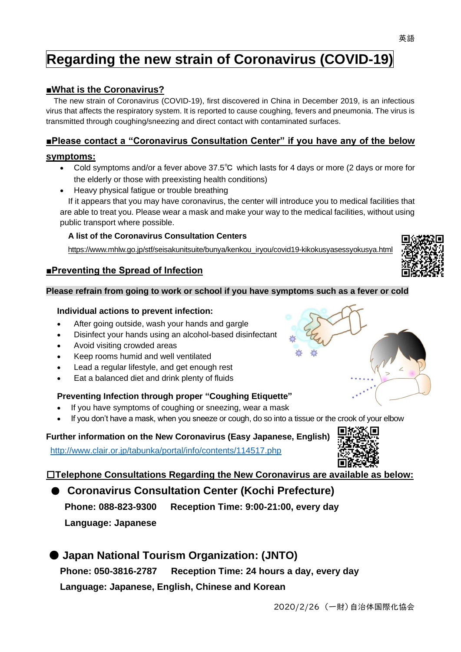## **Regarding the new strain of Coronavirus (COVID-19)**

#### **■What is the Coronavirus?**

The new strain of Coronavirus (COVID-19), first discovered in China in December 2019, is an infectious virus that affects the respiratory system. It is reported to cause coughing, fevers and pneumonia. The virus is transmitted through coughing/sneezing and direct contact with contaminated surfaces.

#### **■Please contact a "Coronavirus Consultation Center" if you have any of the below**

#### **symptoms:**

- Cold symptoms and/or a fever above 37.5℃ which lasts for 4 days or more (2 days or more for the elderly or those with preexisting health conditions)
- Heavy physical fatigue or trouble breathing

If it appears that you may have coronavirus, the center will introduce you to medical facilities that are able to treat you. Please wear a mask and make your way to the medical facilities, without using public transport where possible.

#### **A list of the Coronavirus Consultation Centers**

https://www.mhlw.go.jp/stf/seisakunitsuite/bunya/kenkou\_iryou/covid19-kikokusyasessyokusya.html

#### **■Preventing the Spread of Infection**

#### **Please refrain from going to work or school if you have symptoms such as a fever or cold**

#### **Individual actions to prevent infection:**

- After going outside, wash your hands and gargle
- Disinfect your hands using an alcohol-based disinfectant
- Avoid visiting crowded areas
- Keep rooms humid and well ventilated
- Lead a regular lifestyle, and get enough rest
- Eat a balanced diet and drink plenty of fluids

#### **Preventing Infection through proper "Coughing Etiquette"**

- If you have symptoms of coughing or sneezing, wear a mask
- If you don't have a mask, when you sneeze or cough, do so into a tissue or the crook of your elbow

#### **Further information on the New Coronavirus (Easy Japanese, English)**

<http://www.clair.or.jp/tabunka/portal/info/contents/114517.php>

□**Telephone Consultations Regarding the New Coronavirus are available as below:**

### ● **Coronavirus Consultation Center (Kochi Prefecture) Phone: 088-823-9300 Reception Time: 9:00-21:00, every day Language: Japanese**

# ● **Japan National Tourism Organization: (JNTO)**

**Phone: 050-3816-2787 Reception Time: 24 hours a day, every day Language: Japanese, English, Chinese and Korean** 









英語